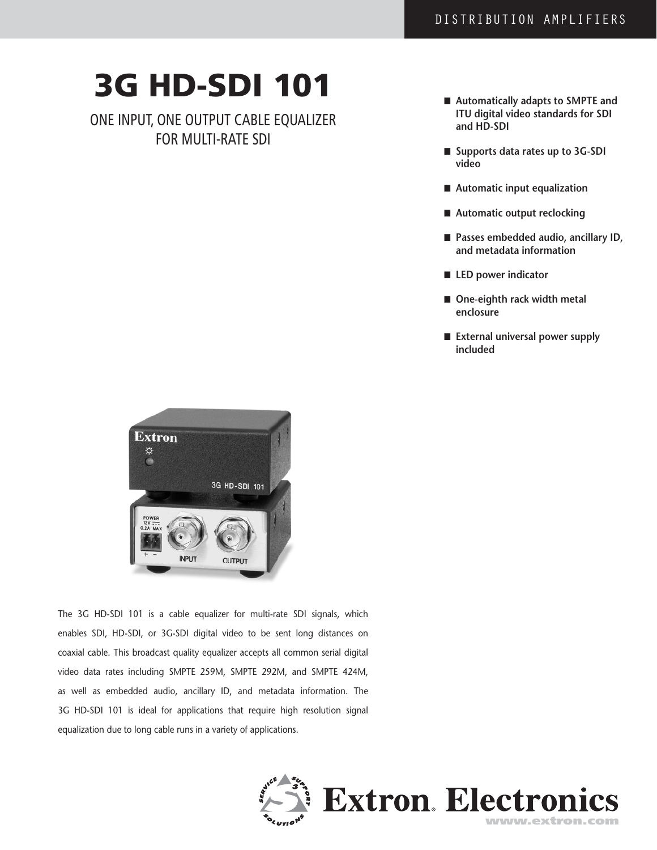# 3G HD-SDI 101

One input, one output cable equalizer FOR MULTI-RATE SDI

- Automatically adapts to SMPTE and **ITU digital video standards for SDI and HD-SDI**
- Supports data rates up to 3G-SDI **video**
- Automatic input equalization
- Automatic output reclocking
- Passes embedded audio, ancillary ID, **and metadata information**
- LED power indicator
- One-eighth rack width metal **enclosure**
- External universal power supply **included**



The 3G HD-SDI 101 is a cable equalizer for multi-rate SDI signals, which enables SDI, HD-SDI, or 3G-SDI digital video to be sent long distances on coaxial cable. This broadcast quality equalizer accepts all common serial digital video data rates including SMPTE 259M, SMPTE 292M, and SMPTE 424M, as well as embedded audio, ancillary ID, and metadata information. The 3G HD-SDI 101 is ideal for applications that require high resolution signal equalization due to long cable runs in a variety of applications.